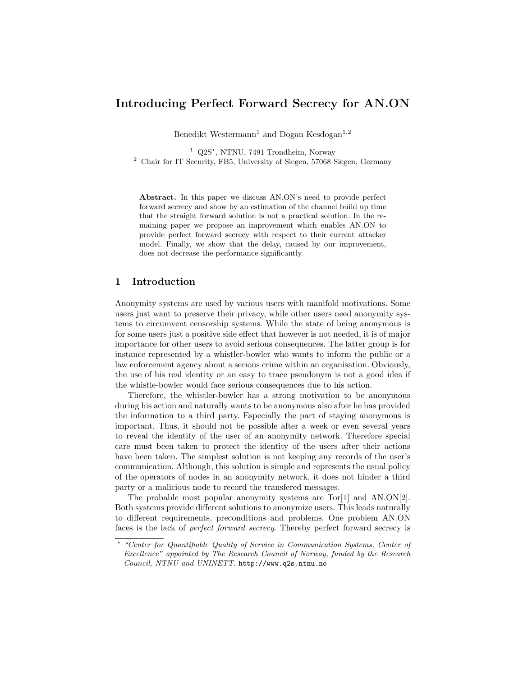# Introducing Perfect Forward Secrecy for AN.ON

Benedikt Westermann<sup>1</sup> and Dogan Kesdogan<sup>1,2</sup>

<sup>1</sup> Q2S<sup>\*</sup>, NTNU, 7491 Trondheim, Norway <sup>2</sup> Chair for IT Security, FB5, University of Siegen, 57068 Siegen, Germany

Abstract. In this paper we discuss AN.ON's need to provide perfect forward secrecy and show by an estimation of the channel build up time that the straight forward solution is not a practical solution. In the remaining paper we propose an improvement which enables AN.ON to provide perfect forward secrecy with respect to their current attacker model. Finally, we show that the delay, caused by our improvement, does not decrease the performance significantly.

## 1 Introduction

Anonymity systems are used by various users with manifold motivations. Some users just want to preserve their privacy, while other users need anonymity systems to circumvent censorship systems. While the state of being anonymous is for some users just a positive side effect that however is not needed, it is of major importance for other users to avoid serious consequences. The latter group is for instance represented by a whistler-bowler who wants to inform the public or a law enforcement agency about a serious crime within an organisation. Obviously, the use of his real identity or an easy to trace pseudonym is not a good idea if the whistle-bowler would face serious consequences due to his action.

Therefore, the whistler-bowler has a strong motivation to be anonymous during his action and naturally wants to be anonymous also after he has provided the information to a third party. Especially the part of staying anonymous is important. Thus, it should not be possible after a week or even several years to reveal the identity of the user of an anonymity network. Therefore special care must been taken to protect the identity of the users after their actions have been taken. The simplest solution is not keeping any records of the user's communication. Although, this solution is simple and represents the usual policy of the operators of nodes in an anonymity network, it does not hinder a third party or a malicious node to record the transfered messages.

The probable most popular anonymity systems are  $Tor[1]$  and  $AN.ON[2]$ . Both systems provide different solutions to anonymize users. This leads naturally to different requirements, preconditions and problems. One problem AN.ON faces is the lack of perfect forward secrecy. Thereby perfect forward secrecy is

<sup>\* &</sup>quot;Center for Quantifiable Quality of Service in Communication Systems, Center of Excellence" appointed by The Research Council of Norway, funded by the Research Council, NTNU and UNINETT. http://www.q2s.ntnu.no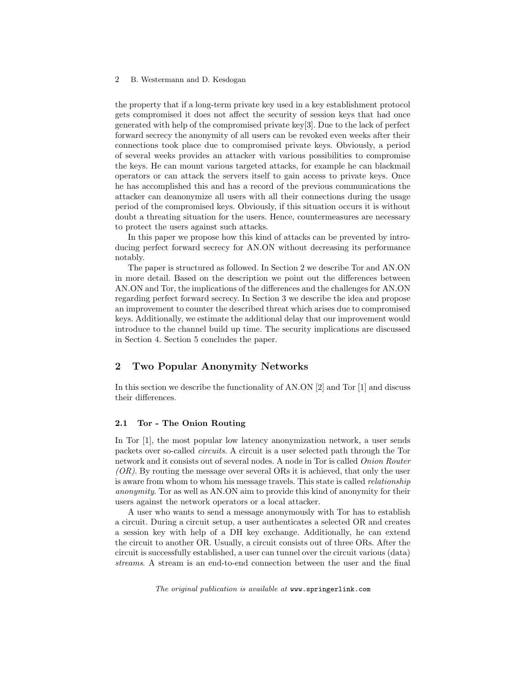the property that if a long-term private key used in a key establishment protocol gets compromised it does not affect the security of session keys that had once generated with help of the compromised private key[3]. Due to the lack of perfect forward secrecy the anonymity of all users can be revoked even weeks after their connections took place due to compromised private keys. Obviously, a period of several weeks provides an attacker with various possibilities to compromise the keys. He can mount various targeted attacks, for example he can blackmail operators or can attack the servers itself to gain access to private keys. Once he has accomplished this and has a record of the previous communications the attacker can deanonymize all users with all their connections during the usage period of the compromised keys. Obviously, if this situation occurs it is without doubt a threating situation for the users. Hence, countermeasures are necessary to protect the users against such attacks.

In this paper we propose how this kind of attacks can be prevented by introducing perfect forward secrecy for AN.ON without decreasing its performance notably.

The paper is structured as followed. In Section 2 we describe Tor and AN.ON in more detail. Based on the description we point out the differences between AN.ON and Tor, the implications of the differences and the challenges for AN.ON regarding perfect forward secrecy. In Section 3 we describe the idea and propose an improvement to counter the described threat which arises due to compromised keys. Additionally, we estimate the additional delay that our improvement would introduce to the channel build up time. The security implications are discussed in Section 4. Section 5 concludes the paper.

## 2 Two Popular Anonymity Networks

In this section we describe the functionality of AN.ON [2] and Tor [1] and discuss their differences.

## 2.1 Tor - The Onion Routing

In Tor [1], the most popular low latency anonymization network, a user sends packets over so-called circuits. A circuit is a user selected path through the Tor network and it consists out of several nodes. A node in Tor is called Onion Router  $(OR)$ . By routing the message over several ORs it is achieved, that only the user is aware from whom to whom his message travels. This state is called *relationship* anonymity. Tor as well as AN.ON aim to provide this kind of anonymity for their users against the network operators or a local attacker.

A user who wants to send a message anonymously with Tor has to establish a circuit. During a circuit setup, a user authenticates a selected OR and creates a session key with help of a DH key exchange. Additionally, he can extend the circuit to another OR. Usually, a circuit consists out of three ORs. After the circuit is successfully established, a user can tunnel over the circuit various (data) streams. A stream is an end-to-end connection between the user and the final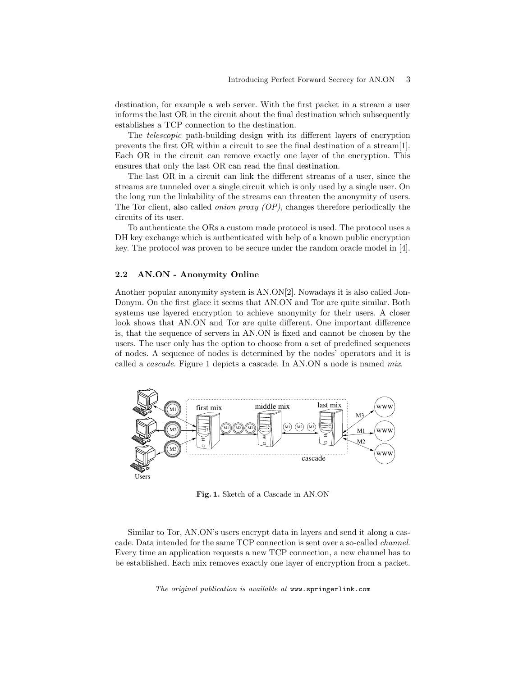destination, for example a web server. With the first packet in a stream a user informs the last OR in the circuit about the final destination which subsequently establishes a TCP connection to the destination.

The telescopic path-building design with its different layers of encryption prevents the first OR within a circuit to see the final destination of a stream[1]. Each OR in the circuit can remove exactly one layer of the encryption. This ensures that only the last OR can read the final destination.

The last OR in a circuit can link the different streams of a user, since the streams are tunneled over a single circuit which is only used by a single user. On the long run the linkability of the streams can threaten the anonymity of users. The Tor client, also called onion proxy (OP), changes therefore periodically the circuits of its user.

To authenticate the ORs a custom made protocol is used. The protocol uses a DH key exchange which is authenticated with help of a known public encryption key. The protocol was proven to be secure under the random oracle model in [4].

#### 2.2 AN.ON - Anonymity Online

Another popular anonymity system is AN.ON[2]. Nowadays it is also called Jon-Donym. On the first glace it seems that AN.ON and Tor are quite similar. Both systems use layered encryption to achieve anonymity for their users. A closer look shows that AN.ON and Tor are quite different. One important difference is, that the sequence of servers in AN.ON is fixed and cannot be chosen by the users. The user only has the option to choose from a set of predefined sequences of nodes. A sequence of nodes is determined by the nodes' operators and it is called a cascade. Figure 1 depicts a cascade. In AN.ON a node is named mix.



Fig. 1. Sketch of a Cascade in AN.ON

Similar to Tor, AN.ON's users encrypt data in layers and send it along a cascade. Data intended for the same TCP connection is sent over a so-called channel. Every time an application requests a new TCP connection, a new channel has to be established. Each mix removes exactly one layer of encryption from a packet.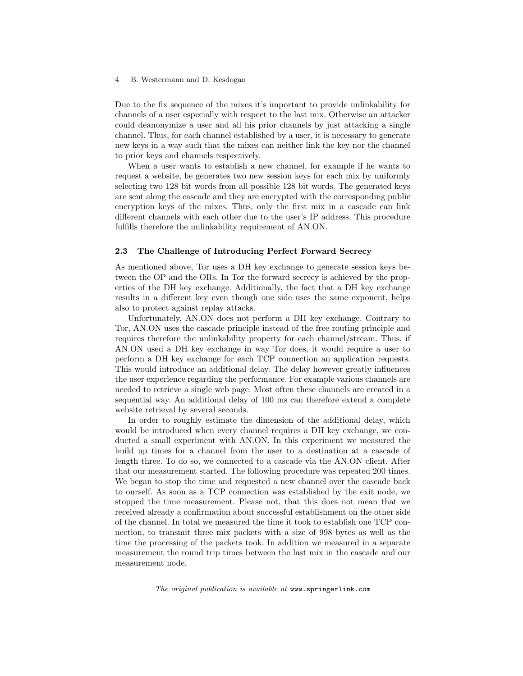Due to the fix sequence of the mixes it's important to provide unlinkability for channels of a user especially with respect to the last mix. Otherwise an attacker could deanonymize a user and all his prior channels by just attacking a single channel. Thus, for each channel established by a user, it is necessary to generate new keys in a way such that the mixes can neither link the key nor the channel to prior keys and channels respectively.

When a user wants to establish a new channel, for example if he wants to request a website, he generates two new session keys for each mix by uniformly selecting two 128 bit words from all possible 128 bit words. The generated keys are sent along the cascade and they are encrypted with the corresponding public encryption keys of the mixes. Thus, only the first mix in a cascade can link different channels with each other due to the user's IP address. This procedure fulfills therefore the unlinkability requirement of AN.ON.

#### 2.3 The Challenge of Introducing Perfect Forward Secrecy

As mentioned above, Tor uses a DH key exchange to generate session keys between the OP and the ORs. In Tor the forward secrecy is achieved by the properties of the DH key exchange. Additionally, the fact that a DH key exchange results in a different key even though one side uses the same exponent, helps also to protect against replay attacks.

Unfortunately, AN.ON does not perform a DH key exchange. Contrary to Tor, AN.ON uses the cascade principle instead of the free routing principle and requires therefore the unlinkability property for each channel/stream. Thus, if AN.ON used a DH key exchange in way Tor does, it would require a user to perform a DH key exchange for each TCP connection an application requests. This would introduce an additional delay. The delay however greatly influences the user experience regarding the performance. For example various channels are needed to retrieve a single web page. Most often these channels are created in a sequential way. An additional delay of 100 ms can therefore extend a complete website retrieval by several seconds.

In order to roughly estimate the dimension of the additional delay, which would be introduced when every channel requires a DH key exchange, we conducted a small experiment with AN.ON. In this experiment we measured the build up times for a channel from the user to a destination at a cascade of length three. To do so, we connected to a cascade via the AN.ON client. After that our measurement started. The following procedure was repeated 200 times. We began to stop the time and requested a new channel over the cascade back to ourself. As soon as a TCP connection was established by the exit node, we stopped the time measurement. Please not, that this does not mean that we received already a confirmation about successful establishment on the other side of the channel. In total we measured the time it took to establish one TCP connection, to transmit three mix packets with a size of 998 bytes as well as the time the processing of the packets took. In addition we measured in a separate measurement the round trip times between the last mix in the cascade and our measurement node.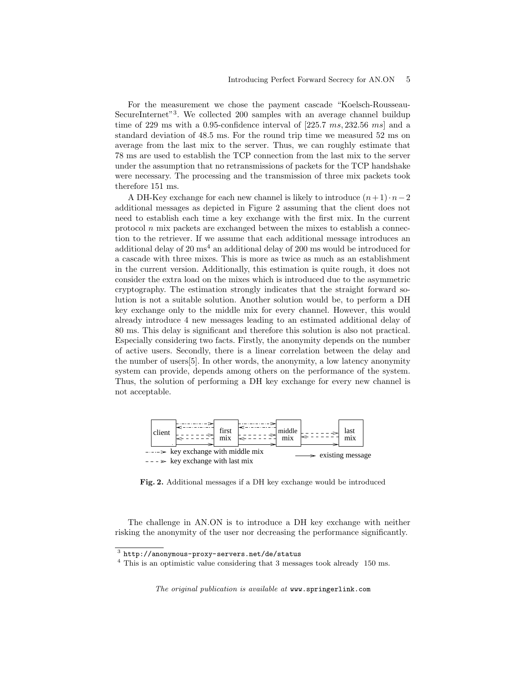For the measurement we chose the payment cascade "Koelsch-Rousseau-SecureInternet"<sup>3</sup>. We collected 200 samples with an average channel buildup time of 229 ms with a 0.95-confidence interval of  $[225.7 \, ms, 232.56 \, ms]$  and a standard deviation of 48.5 ms. For the round trip time we measured 52 ms on average from the last mix to the server. Thus, we can roughly estimate that 78 ms are used to establish the TCP connection from the last mix to the server under the assumption that no retransmissions of packets for the TCP handshake were necessary. The processing and the transmission of three mix packets took therefore 151 ms.

A DH-Key exchange for each new channel is likely to introduce  $(n+1)\cdot n-2$ additional messages as depicted in Figure 2 assuming that the client does not need to establish each time a key exchange with the first mix. In the current protocol  $n$  mix packets are exchanged between the mixes to establish a connection to the retriever. If we assume that each additional message introduces an additional delay of  $20 \text{ ms}^4$  an additional delay of  $200 \text{ ms}$  would be introduced for a cascade with three mixes. This is more as twice as much as an establishment in the current version. Additionally, this estimation is quite rough, it does not consider the extra load on the mixes which is introduced due to the asymmetric cryptography. The estimation strongly indicates that the straight forward solution is not a suitable solution. Another solution would be, to perform a DH key exchange only to the middle mix for every channel. However, this would already introduce 4 new messages leading to an estimated additional delay of 80 ms. This delay is significant and therefore this solution is also not practical. Especially considering two facts. Firstly, the anonymity depends on the number of active users. Secondly, there is a linear correlation between the delay and the number of users[5]. In other words, the anonymity, a low latency anonymity system can provide, depends among others on the performance of the system. Thus, the solution of performing a DH key exchange for every new channel is not acceptable.



Fig. 2. Additional messages if a DH key exchange would be introduced

The challenge in AN.ON is to introduce a DH key exchange with neither risking the anonymity of the user nor decreasing the performance significantly.

 $^3$  http://anonymous-proxy-servers.net/de/status

<sup>&</sup>lt;sup>4</sup> This is an optimistic value considering that 3 messages took already 150 ms.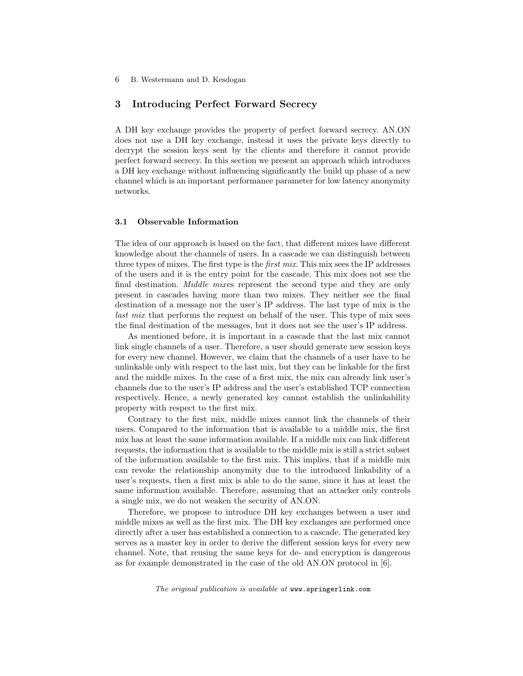## 3 Introducing Perfect Forward Secrecy

A DH key exchange provides the property of perfect forward secrecy. AN.ON does not use a DH key exchange, instead it uses the private keys directly to decrypt the session keys sent by the clients and therefore it cannot provide perfect forward secrecy. In this section we present an approach which introduces a DH key exchange without influencing significantly the build up phase of a new channel which is an important performance parameter for low latency anonymity networks.

## 3.1 Observable Information

The idea of our approach is based on the fact, that different mixes have different knowledge about the channels of users. In a cascade we can distinguish between three types of mixes. The first type is the first mix. This mix sees the IP addresses of the users and it is the entry point for the cascade. This mix does not see the final destination. *Middle mixes* represent the second type and they are only present in cascades having more than two mixes. They neither see the final destination of a message nor the user's IP address. The last type of mix is the last mix that performs the request on behalf of the user. This type of mix sees the final destination of the messages, but it does not see the user's IP address.

As mentioned before, it is important in a cascade that the last mix cannot link single channels of a user. Therefore, a user should generate new session keys for every new channel. However, we claim that the channels of a user have to be unlinkable only with respect to the last mix, but they can be linkable for the first and the middle mixes. In the case of a first mix, the mix can already link user's channels due to the user's IP address and the user's established TCP connection respectively. Hence, a newly generated key cannot establish the unlinkability property with respect to the first mix.

Contrary to the first mix, middle mixes cannot link the channels of their users. Compared to the information that is available to a middle mix, the first mix has at least the same information available. If a middle mix can link different requests, the information that is available to the middle mix is still a strict subset of the information available to the first mix. This implies, that if a middle mix can revoke the relationship anonymity due to the introduced linkability of a user's requests, then a first mix is able to do the same, since it has at least the same information available. Therefore, assuming that an attacker only controls a single mix, we do not weaken the security of AN.ON.

Therefore, we propose to introduce DH key exchanges between a user and middle mixes as well as the first mix. The DH key exchanges are performed once directly after a user has established a connection to a cascade. The generated key serves as a master key in order to derive the different session keys for every new channel. Note, that reusing the same keys for de- and encryption is dangerous as for example demonstrated in the case of the old AN.ON protocol in [6].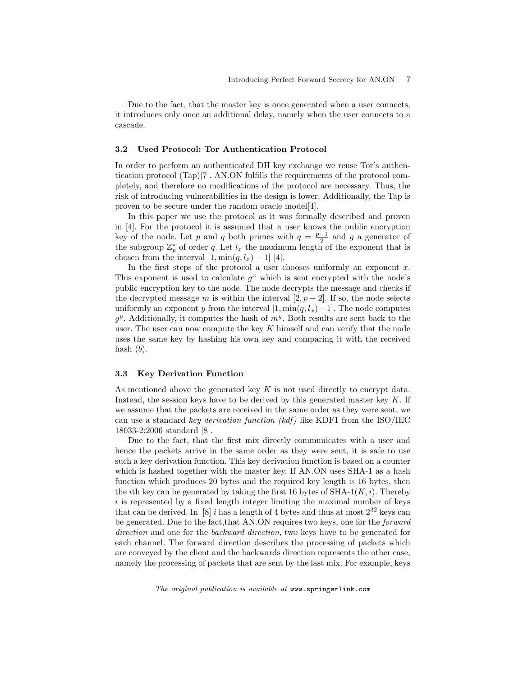Due to the fact, that the master key is once generated when a user connects, it introduces only once an additional delay, namely when the user connects to a cascade.

### 3.2 Used Protocol: Tor Authentication Protocol

In order to perform an authenticated DH key exchange we reuse Tor's authentication protocol (Tap)[7]. AN.ON fulfills the requirements of the protocol completely, and therefore no modifications of the protocol are necessary. Thus, the risk of introducing vulnerabilities in the design is lower. Additionally, the Tap is proven to be secure under the random oracle model[4].

In this paper we use the protocol as it was formally described and proven in [4]. For the protocol it is assumed that a user knows the public encryption key of the node. Let p and q both primes with  $q = \frac{p-1}{2}$  and g a generator of the subgroup  $\mathbb{Z}_p^*$  of order q. Let  $l_x$  the maximum length of the exponent that is chosen from the interval  $[1, \min(q, l_x) - 1]$  [4].

In the first steps of the protocol a user chooses uniformly an exponent  $x$ . This exponent is used to calculate  $g^x$  which is sent encrypted with the node's public encryption key to the node. The node decrypts the message and checks if the decrypted message m is within the interval  $[2, p-2]$ . If so, the node selects uniformly an exponent y from the interval  $[1, \min(q, l_x)-1]$ . The node computes  $g^y$ . Additionally, it computes the hash of  $m^y$ . Both results are sent back to the user. The user can now compute the key  $K$  himself and can verify that the node uses the same key by hashing his own key and comparing it with the received hash  $(b)$ .

#### 3.3 Key Derivation Function

As mentioned above the generated key  $K$  is not used directly to encrypt data. Instead, the session keys have to be derived by this generated master key  $K$ . If we assume that the packets are received in the same order as they were sent, we can use a standard key derivation function (kdf) like KDF1 from the ISO/IEC 18033-2:2006 standard [8].

Due to the fact, that the first mix directly communicates with a user and hence the packets arrive in the same order as they were sent, it is safe to use such a key derivation function. This key derivation function is based on a counter which is hashed together with the master key. If AN.ON uses SHA-1 as a hash function which produces 20 bytes and the required key length is 16 bytes, then the *i*th key can be generated by taking the first 16 bytes of SHA-1 $(K, i)$ . Thereby  $i$  is represented by a fixed length integer limiting the maximal number of keys that can be derived. In [8] i has a length of 4 bytes and thus at most  $2^{32}$  keys can be generated. Due to the fact,that AN.ON requires two keys, one for the forward direction and one for the backward direction, two keys have to be generated for each channel. The forward direction describes the processing of packets which are conveyed by the client and the backwards direction represents the other case, namely the processing of packets that are sent by the last mix. For example, keys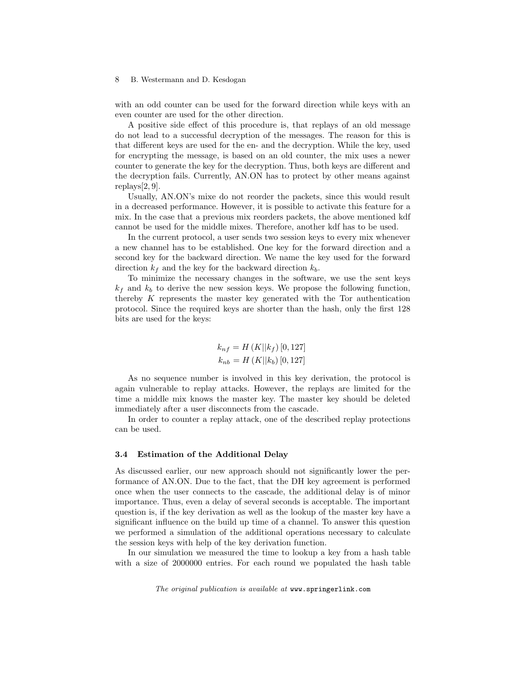with an odd counter can be used for the forward direction while keys with an even counter are used for the other direction.

A positive side effect of this procedure is, that replays of an old message do not lead to a successful decryption of the messages. The reason for this is that different keys are used for the en- and the decryption. While the key, used for encrypting the message, is based on an old counter, the mix uses a newer counter to generate the key for the decryption. Thus, both keys are different and the decryption fails. Currently, AN.ON has to protect by other means against replays[2, 9].

Usually, AN.ON's mixe do not reorder the packets, since this would result in a decreased performance. However, it is possible to activate this feature for a mix. In the case that a previous mix reorders packets, the above mentioned kdf cannot be used for the middle mixes. Therefore, another kdf has to be used.

In the current protocol, a user sends two session keys to every mix whenever a new channel has to be established. One key for the forward direction and a second key for the backward direction. We name the key used for the forward direction  $k_f$  and the key for the backward direction  $k_b$ .

To minimize the necessary changes in the software, we use the sent keys  $k_f$  and  $k_b$  to derive the new session keys. We propose the following function, thereby K represents the master key generated with the Tor authentication protocol. Since the required keys are shorter than the hash, only the first 128 bits are used for the keys:

$$
k_{nf} = H (K || k_f) [0, 127]
$$
  

$$
k_{nb} = H (K || k_b) [0, 127]
$$

As no sequence number is involved in this key derivation, the protocol is again vulnerable to replay attacks. However, the replays are limited for the time a middle mix knows the master key. The master key should be deleted immediately after a user disconnects from the cascade.

In order to counter a replay attack, one of the described replay protections can be used.

#### 3.4 Estimation of the Additional Delay

As discussed earlier, our new approach should not significantly lower the performance of AN.ON. Due to the fact, that the DH key agreement is performed once when the user connects to the cascade, the additional delay is of minor importance. Thus, even a delay of several seconds is acceptable. The important question is, if the key derivation as well as the lookup of the master key have a significant influence on the build up time of a channel. To answer this question we performed a simulation of the additional operations necessary to calculate the session keys with help of the key derivation function.

In our simulation we measured the time to lookup a key from a hash table with a size of 2000000 entries. For each round we populated the hash table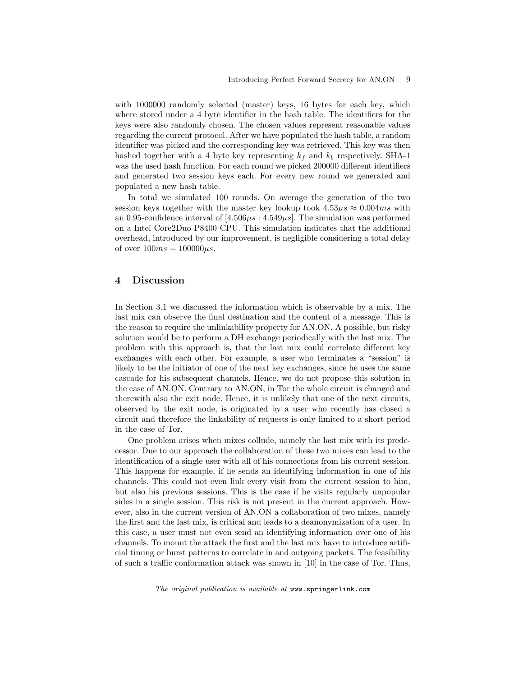with 1000000 randomly selected (master) keys, 16 bytes for each key, which where stored under a 4 byte identifier in the hash table. The identifiers for the keys were also randomly chosen. The chosen values represent reasonable values regarding the current protocol. After we have populated the hash table, a random identifier was picked and the corresponding key was retrieved. This key was then hashed together with a 4 byte key representing  $k_f$  and  $k_b$  respectively. SHA-1 was the used hash function. For each round we picked 200000 different identifiers and generated two session keys each. For every new round we generated and populated a new hash table.

In total we simulated 100 rounds. On average the generation of the two session keys together with the master key lookup took  $4.53\mu s \approx 0.004ms$  with an 0.95-confidence interval of  $[4.506\mu s: 4.549\mu s]$ . The simulation was performed on a Intel Core2Duo P8400 CPU. This simulation indicates that the additional overhead, introduced by our improvement, is negligible considering a total delay of over  $100ms = 100000\mu s$ .

## 4 Discussion

In Section 3.1 we discussed the information which is observable by a mix. The last mix can observe the final destination and the content of a message. This is the reason to require the unlinkability property for AN.ON. A possible, but risky solution would be to perform a DH exchange periodically with the last mix. The problem with this approach is, that the last mix could correlate different key exchanges with each other. For example, a user who terminates a "session" is likely to be the initiator of one of the next key exchanges, since he uses the same cascade for his subsequent channels. Hence, we do not propose this solution in the case of AN.ON. Contrary to AN.ON, in Tor the whole circuit is changed and therewith also the exit node. Hence, it is unlikely that one of the next circuits, observed by the exit node, is originated by a user who recently has closed a circuit and therefore the linkability of requests is only limited to a short period in the case of Tor.

One problem arises when mixes collude, namely the last mix with its predecessor. Due to our approach the collaboration of these two mixes can lead to the identification of a single user with all of his connections from his current session. This happens for example, if he sends an identifying information in one of his channels. This could not even link every visit from the current session to him, but also his previous sessions. This is the case if he visits regularly unpopular sides in a single session. This risk is not present in the current approach. However, also in the current version of AN.ON a collaboration of two mixes, namely the first and the last mix, is critical and leads to a deanonymization of a user. In this case, a user must not even send an identifying information over one of his channels. To mount the attack the first and the last mix have to introduce artificial timing or burst patterns to correlate in and outgoing packets. The feasibility of such a traffic conformation attack was shown in [10] in the case of Tor. Thus,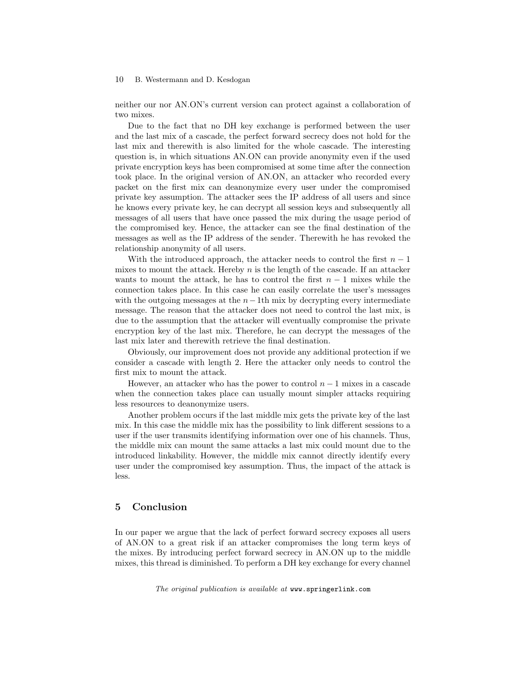neither our nor AN.ON's current version can protect against a collaboration of two mixes.

Due to the fact that no DH key exchange is performed between the user and the last mix of a cascade, the perfect forward secrecy does not hold for the last mix and therewith is also limited for the whole cascade. The interesting question is, in which situations AN.ON can provide anonymity even if the used private encryption keys has been compromised at some time after the connection took place. In the original version of AN.ON, an attacker who recorded every packet on the first mix can deanonymize every user under the compromised private key assumption. The attacker sees the IP address of all users and since he knows every private key, he can decrypt all session keys and subsequently all messages of all users that have once passed the mix during the usage period of the compromised key. Hence, the attacker can see the final destination of the messages as well as the IP address of the sender. Therewith he has revoked the relationship anonymity of all users.

With the introduced approach, the attacker needs to control the first  $n-1$ mixes to mount the attack. Hereby  $n$  is the length of the cascade. If an attacker wants to mount the attack, he has to control the first  $n-1$  mixes while the connection takes place. In this case he can easily correlate the user's messages with the outgoing messages at the  $n-1$ th mix by decrypting every intermediate message. The reason that the attacker does not need to control the last mix, is due to the assumption that the attacker will eventually compromise the private encryption key of the last mix. Therefore, he can decrypt the messages of the last mix later and therewith retrieve the final destination.

Obviously, our improvement does not provide any additional protection if we consider a cascade with length 2. Here the attacker only needs to control the first mix to mount the attack.

However, an attacker who has the power to control  $n-1$  mixes in a cascade when the connection takes place can usually mount simpler attacks requiring less resources to deanonymize users.

Another problem occurs if the last middle mix gets the private key of the last mix. In this case the middle mix has the possibility to link different sessions to a user if the user transmits identifying information over one of his channels. Thus, the middle mix can mount the same attacks a last mix could mount due to the introduced linkability. However, the middle mix cannot directly identify every user under the compromised key assumption. Thus, the impact of the attack is less.

## 5 Conclusion

In our paper we argue that the lack of perfect forward secrecy exposes all users of AN.ON to a great risk if an attacker compromises the long term keys of the mixes. By introducing perfect forward secrecy in AN.ON up to the middle mixes, this thread is diminished. To perform a DH key exchange for every channel